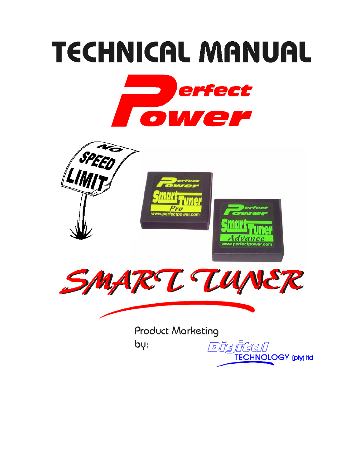# **TECHNICAL MANUAL**





**Product Marketing** 

 $b\psi$ 

Digital **TECHNOLOGY** (pty) Itd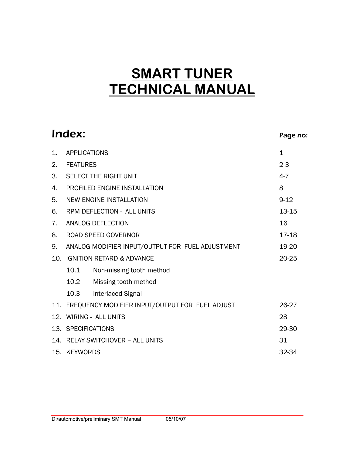# **SMART TUNER TECHNICAL MANUAL**

|     | Index:                                                       | Page no:     |  |  |  |
|-----|--------------------------------------------------------------|--------------|--|--|--|
| 1.  | <b>APPLICATIONS</b>                                          | $\mathbf{1}$ |  |  |  |
| 2.  | <b>FEATURES</b>                                              | $2 - 3$      |  |  |  |
| 3.  | <b>SELECT THE RIGHT UNIT</b>                                 | $4 - 7$      |  |  |  |
| 4.  | PROFILED ENGINE INSTALLATION                                 | 8            |  |  |  |
| 5.  | <b>NEW ENGINE INSTALLATION</b>                               | $9 - 12$     |  |  |  |
| 6.  | <b>RPM DEFLECTION - ALL UNITS</b>                            | 13-15        |  |  |  |
| 7.  | ANALOG DEFLECTION                                            | 16           |  |  |  |
| 8.  | <b>ROAD SPEED GOVERNOR</b>                                   | 17-18        |  |  |  |
| 9.  | ANALOG MODIFIER INPUT/OUTPUT FOR FUEL ADJUSTMENT<br>19-20    |              |  |  |  |
| 10. | <b>IGNITION RETARD &amp; ADVANCE</b><br>20-25                |              |  |  |  |
|     | 10.1<br>Non-missing tooth method                             |              |  |  |  |
|     | 10.2<br>Missing tooth method                                 |              |  |  |  |
|     | 10.3<br><b>Interlaced Signal</b>                             |              |  |  |  |
|     | 11. FREQUENCY MODIFIER INPUT/OUTPUT FOR FUEL ADJUST<br>26-27 |              |  |  |  |
|     | 12. WIRING - ALL UNITS<br>28                                 |              |  |  |  |
|     | 13. SPECIFICATIONS<br>29-30                                  |              |  |  |  |
|     | 14. RELAY SWITCHOVER - ALL UNITS<br>31                       |              |  |  |  |
|     | 15. KEYWORDS<br>32-34                                        |              |  |  |  |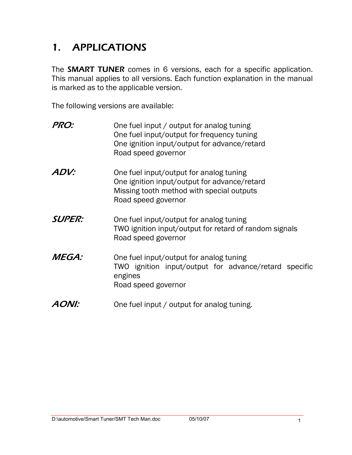# 1. APPLICATIONS

The **SMART TUNER** comes in 6 versions, each for a specific application. This manual applies to all versions. Each function explanation in the manual is marked as to the applicable version.

The following versions are available:

| PRO:          | One fuel input / output for analog tuning<br>One fuel input/output for frequency tuning<br>One ignition input/output for advance/retard<br>Road speed governor |
|---------------|----------------------------------------------------------------------------------------------------------------------------------------------------------------|
| ADV:          | One fuel input/output for analog tuning<br>One ignition input/output for advance/retard<br>Missing tooth method with special outputs<br>Road speed governor    |
| <b>SUPER:</b> | One fuel input/output for analog tuning<br>TWO ignition input/output for retard of random signals<br>Road speed governor                                       |
| <i>MEGA:</i>  | One fuel input/output for analog tuning<br>TWO ignition input/output for advance/retard specific<br>engines<br>Road speed governor                             |
|               | One fuel input / output for analog tuning.                                                                                                                     |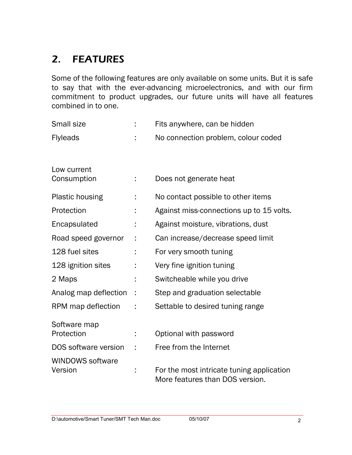# 2. FEATURES

Some of the following features are only available on some units. But it is safe to say that with the ever-advancing microelectronics, and with our firm commitment to product upgrades, our future units will have all features combined in to one.

| <b>Small size</b>                  | t | Fits anywhere, can be hidden                                                 |
|------------------------------------|---|------------------------------------------------------------------------------|
| <b>Flyleads</b>                    |   | No connection problem, colour coded                                          |
| Low current<br>Consumption         |   | Does not generate heat                                                       |
| <b>Plastic housing</b>             |   | No contact possible to other items                                           |
| Protection                         |   | Against miss-connections up to 15 volts.                                     |
| Encapsulated                       |   | Against moisture, vibrations, dust                                           |
| Road speed governor                |   | Can increase/decrease speed limit                                            |
| 128 fuel sites                     |   | For very smooth tuning                                                       |
| 128 ignition sites                 |   | Very fine ignition tuning                                                    |
| 2 Maps                             |   | Switcheable while you drive                                                  |
| Analog map deflection              | ÷ | Step and graduation selectable                                               |
| RPM map deflection                 |   | Settable to desired tuning range                                             |
| Software map<br>Protection         |   | Optional with password                                                       |
| DOS software version               |   | Free from the Internet                                                       |
| <b>WINDOWS software</b><br>Version |   | For the most intricate tuning application<br>More features than DOS version. |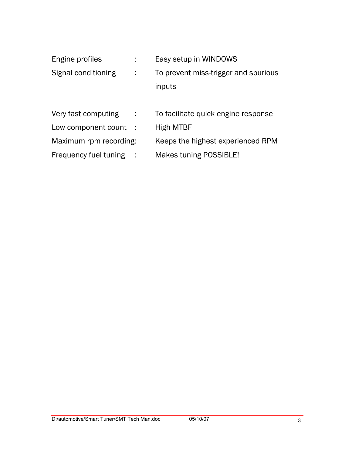| Engine profiles        |           | Easy setup in WINDOWS                |
|------------------------|-----------|--------------------------------------|
| Signal conditioning    |           | To prevent miss-trigger and spurious |
|                        |           | inputs                               |
|                        |           |                                      |
| Very fast computing    | $\sim$ 1. | To facilitate quick engine response  |
| Low component count :  |           | High MTBF                            |
| Maximum rpm recording: |           | Keeps the highest experienced RPM    |
| Frequency fuel tuning  | - 1       | Makes tuning POSSIBLE!               |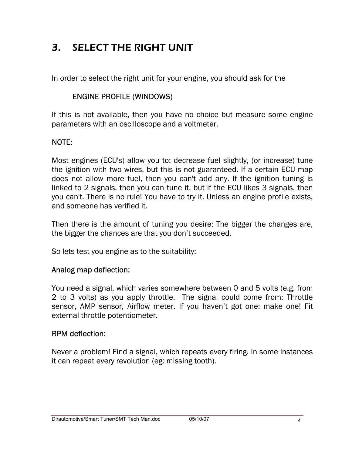# 3. SELECT THE RIGHT UNIT

In order to select the right unit for your engine, you should ask for the

#### ENGINE PROFILE (WINDOWS)

If this is not available, then you have no choice but measure some engine parameters with an oscilloscope and a voltmeter.

#### NOTE:

Most engines (ECU's) allow you to: decrease fuel slightly, (or increase) tune the ignition with two wires, but this is not guaranteed. If a certain ECU map does not allow more fuel, then you can't add any. If the ignition tuning is linked to 2 signals, then you can tune it, but if the ECU likes 3 signals, then you can't. There is no rule! You have to try it. Unless an engine profile exists, and someone has verified it.

Then there is the amount of tuning you desire: The bigger the changes are, the bigger the chances are that you don't succeeded.

So lets test you engine as to the suitability:

#### Analog map deflection:

You need a signal, which varies somewhere between 0 and 5 volts (e.g. from 2 to 3 volts) as you apply throttle. The signal could come from: Throttle sensor, AMP sensor, Airflow meter. If you haven't got one: make one! Fit external throttle potentiometer.

#### RPM deflection:

Never a problem! Find a signal, which repeats every firing. In some instances it can repeat every revolution (eg: missing tooth).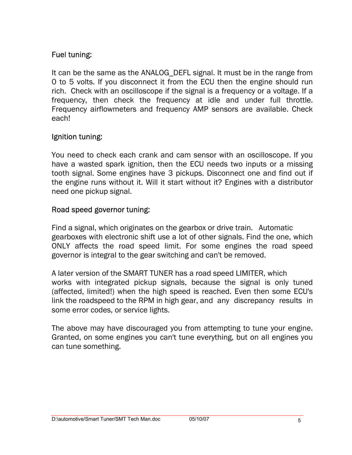#### Fuel tuning:

It can be the same as the ANALOG DEFL signal. It must be in the range from 0 to 5 volts. If you disconnect it from the ECU then the engine should run rich. Check with an oscilloscope if the signal is a frequency or a voltage. If a frequency, then check the frequency at idle and under full throttle. Frequency airflowmeters and frequency AMP sensors are available. Check each!

#### Ignition tuning:

You need to check each crank and cam sensor with an oscilloscope. If you have a wasted spark ignition, then the ECU needs two inputs or a missing tooth signal. Some engines have 3 pickups. Disconnect one and find out if the engine runs without it. Will it start without it? Engines with a distributor need one pickup signal.

#### Road speed governor tuning:

Find a signal, which originates on the gearbox or drive train. Automatic gearboxes with electronic shift use a lot of other signals. Find the one, which ONLY affects the road speed limit. For some engines the road speed governor is integral to the gear switching and can't be removed.

A later version of the SMART TUNER has a road speed LIMITER, which works with integrated pickup signals, because the signal is only tuned (affected, limited!) when the high speed is reached. Even then some ECU's link the roadspeed to the RPM in high gear, and any discrepancy results in some error codes, or service lights.

The above may have discouraged you from attempting to tune your engine. Granted, on some engines you can't tune everything, but on all engines you can tune something.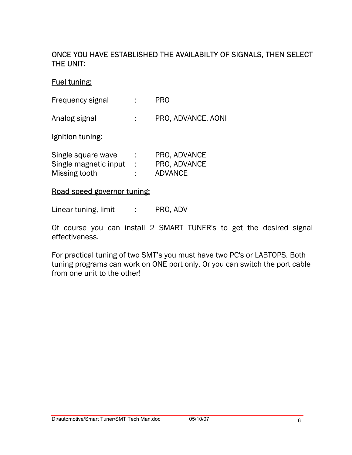#### ONCE YOU HAVE ESTABLISHED THE AVAILABILTY OF SIGNALS, THEN SELECT THE UNIT:

#### Fuel tuning:

| Frequency signal | <b>PRO</b> |
|------------------|------------|
|                  |            |

Analog signal : PRO, ADVANCE, AONI

#### Ignition tuning:

| Single square wave    | ٠ | PRO, ADVANCE   |
|-----------------------|---|----------------|
| Single magnetic input |   | PRO, ADVANCE   |
| Missing tooth         | ٠ | <b>ADVANCE</b> |

#### Road speed governor tuning:

Linear tuning, limit : PRO, ADV

Of course you can install 2 SMART TUNER's to get the desired signal effectiveness.

For practical tuning of two SMT's you must have two PC's or LABTOPS. Both tuning programs can work on ONE port only. Or you can switch the port cable from one unit to the other!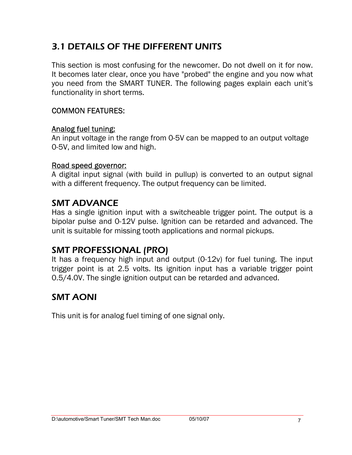## 3.1 DETAILS OF THE DIFFERENT UNITS

This section is most confusing for the newcomer. Do not dwell on it for now. It becomes later clear, once you have "probed" the engine and you now what you need from the SMART TUNER. The following pages explain each unit's functionality in short terms.

#### COMMON FEATURES:

#### Analog fuel tuning:

An input voltage in the range from 0-5V can be mapped to an output voltage 0-5V, and limited low and high.

#### Road speed governor:

A digital input signal (with build in pullup) is converted to an output signal with a different frequency. The output frequency can be limited.

### SMT ADVANCE

Has a single ignition input with a switcheable trigger point. The output is a bipolar pulse and 0-12V pulse. Ignition can be retarded and advanced. The unit is suitable for missing tooth applications and normal pickups.

### SMT PROFESSIONAL (PRO)

It has a frequency high input and output (0-12v) for fuel tuning. The input trigger point is at 2.5 volts. Its ignition input has a variable trigger point 0.5/4.0V. The single ignition output can be retarded and advanced.

### SMT AONI

This unit is for analog fuel timing of one signal only.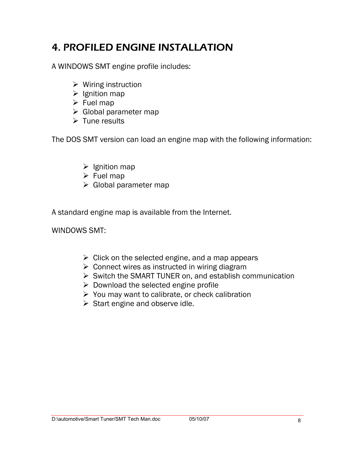# 4. PROFILED ENGINE INSTALLATION

A WINDOWS SMT engine profile includes:

- $\triangleright$  Wiring instruction
- $\triangleright$  Ignition map
- $\triangleright$  Fuel map
- $\triangleright$  Global parameter map
- $\triangleright$  Tune results

The DOS SMT version can load an engine map with the following information:

- $\triangleright$  Ignition map
- $\triangleright$  Fuel map
- $\triangleright$  Global parameter map

A standard engine map is available from the Internet.

WINDOWS SMT:

- $\triangleright$  Click on the selected engine, and a map appears
- $\triangleright$  Connect wires as instructed in wiring diagram
- ¾ Switch the SMART TUNER on, and establish communication
- $\triangleright$  Download the selected engine profile
- $\triangleright$  You may want to calibrate, or check calibration
- $\triangleright$  Start engine and observe idle.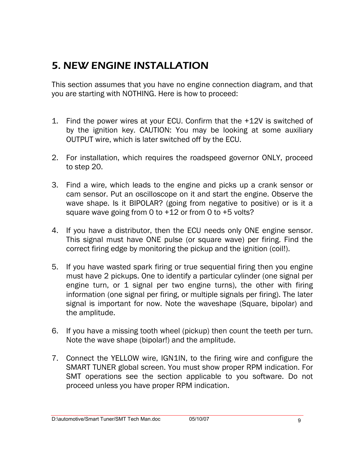# 5. NEW ENGINE INSTALLATION

This section assumes that you have no engine connection diagram, and that you are starting with NOTHING. Here is how to proceed:

- 1. Find the power wires at your ECU. Confirm that the +12V is switched of by the ignition key. CAUTION: You may be looking at some auxiliary OUTPUT wire, which is later switched off by the ECU.
- 2. For installation, which requires the roadspeed governor ONLY, proceed to step 20.
- 3. Find a wire, which leads to the engine and picks up a crank sensor or cam sensor. Put an oscilloscope on it and start the engine. Observe the wave shape. Is it BIPOLAR? (going from negative to positive) or is it a square wave going from 0 to +12 or from 0 to +5 volts?
- 4. If you have a distributor, then the ECU needs only ONE engine sensor. This signal must have ONE pulse (or square wave) per firing. Find the correct firing edge by monitoring the pickup and the ignition (coil!).
- 5. If you have wasted spark firing or true sequential firing then you engine must have 2 pickups. One to identify a particular cylinder (one signal per engine turn, or 1 signal per two engine turns), the other with firing information (one signal per firing, or multiple signals per firing). The later signal is important for now. Note the waveshape (Square, bipolar) and the amplitude.
- 6. If you have a missing tooth wheel (pickup) then count the teeth per turn. Note the wave shape (bipolar!) and the amplitude.
- 7. Connect the YELLOW wire, IGN1IN, to the firing wire and configure the SMART TUNER global screen. You must show proper RPM indication. For SMT operations see the section applicable to you software. Do not proceed unless you have proper RPM indication.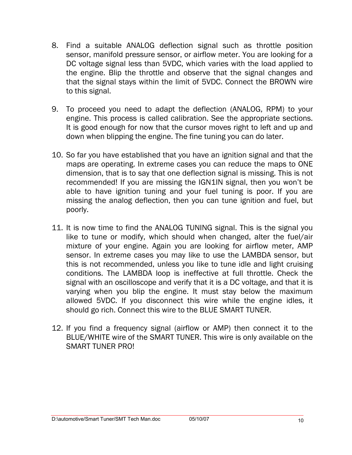- 8. Find a suitable ANALOG deflection signal such as throttle position sensor, manifold pressure sensor, or airflow meter. You are looking for a DC voltage signal less than 5VDC, which varies with the load applied to the engine. Blip the throttle and observe that the signal changes and that the signal stays within the limit of 5VDC. Connect the BROWN wire to this signal.
- 9. To proceed you need to adapt the deflection (ANALOG, RPM) to your engine. This process is called calibration. See the appropriate sections. It is good enough for now that the cursor moves right to left and up and down when blipping the engine. The fine tuning you can do later.
- 10. So far you have established that you have an ignition signal and that the maps are operating. In extreme cases you can reduce the maps to ONE dimension, that is to say that one deflection signal is missing. This is not recommended! If you are missing the IGN1IN signal, then you won't be able to have ignition tuning and your fuel tuning is poor. If you are missing the analog deflection, then you can tune ignition and fuel, but poorly.
- 11. It is now time to find the ANALOG TUNING signal. This is the signal you like to tune or modify, which should when changed, alter the fuel/air mixture of your engine. Again you are looking for airflow meter, AMP sensor. In extreme cases you may like to use the LAMBDA sensor, but this is not recommended, unless you like to tune idle and light cruising conditions. The LAMBDA loop is ineffective at full throttle. Check the signal with an oscilloscope and verify that it is a DC voltage, and that it is varying when you blip the engine. It must stay below the maximum allowed 5VDC. If you disconnect this wire while the engine idles, it should go rich. Connect this wire to the BLUE SMART TUNER.
- 12. If you find a frequency signal (airflow or AMP) then connect it to the BLUE/WHITE wire of the SMART TUNER. This wire is only available on the SMART TUNER PRO!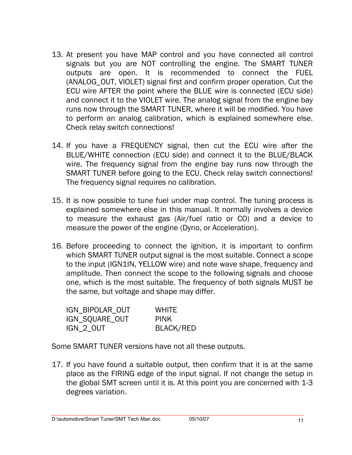- 13. At present you have MAP control and you have connected all control signals but you are NOT controlling the engine. The SMART TUNER outputs are open. It is recommended to connect the FUEL (ANALOG\_OUT, VIOLET) signal first and confirm proper operation. Cut the ECU wire AFTER the point where the BLUE wire is connected (ECU side) and connect it to the VIOLET wire. The analog signal from the engine bay runs now through the SMART TUNER, where it will be modified. You have to perform an analog calibration, which is explained somewhere else. Check relay switch connections!
- 14. If you have a FREQUENCY signal, then cut the ECU wire after the BLUE/WHITE connection (ECU side) and connect it to the BLUE/BLACK wire. The frequency signal from the engine bay runs now through the SMART TUNER before going to the ECU. Check relay switch connections! The frequency signal requires no calibration.
- 15. It is now possible to tune fuel under map control. The tuning process is explained somewhere else in this manual. It normally involves a device to measure the exhaust gas (Air/fuel ratio or CO) and a device to measure the power of the engine (Dyno, or Acceleration).
- 16. Before proceeding to connect the ignition, it is important to confirm which SMART TUNER output signal is the most suitable. Connect a scope to the input (IGN1IN, YELLOW wire) and note wave shape, frequency and amplitude. Then connect the scope to the following signals and choose one, which is the most suitable. The frequency of both signals MUST be the same, but voltage and shape may differ.

| IGN BIPOLAR OUT | <b>WHITE</b>     |
|-----------------|------------------|
| IGN_SQUARE_OUT  | <b>PINK</b>      |
| IGN_2_OUT       | <b>BLACK/RED</b> |

Some SMART TUNER versions have not all these outputs.

17. If you have found a suitable output, then confirm that it is at the same place as the FIRING edge of the input signal. If not change the setup in the global SMT screen until it is. At this point you are concerned with 1-3 degrees variation.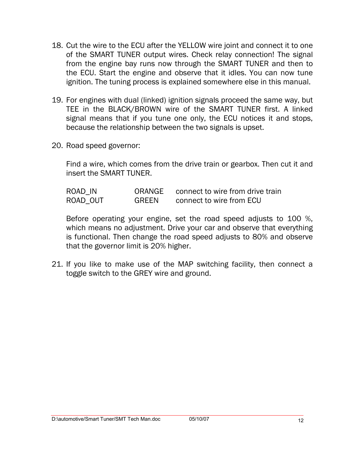- 18. Cut the wire to the ECU after the YELLOW wire joint and connect it to one of the SMART TUNER output wires. Check relay connection! The signal from the engine bay runs now through the SMART TUNER and then to the ECU. Start the engine and observe that it idles. You can now tune ignition. The tuning process is explained somewhere else in this manual.
- 19. For engines with dual (linked) ignition signals proceed the same way, but TEE in the BLACK/BROWN wire of the SMART TUNER first. A linked signal means that if you tune one only, the ECU notices it and stops, because the relationship between the two signals is upset.
- 20. Road speed governor:

Find a wire, which comes from the drive train or gearbox. Then cut it and insert the SMART TUNER.

| ROAD IN  | ORANGE       | connect to wire from drive train |
|----------|--------------|----------------------------------|
| ROAD OUT | <b>GREEN</b> | connect to wire from ECU         |

Before operating your engine, set the road speed adjusts to 100 %, which means no adjustment. Drive your car and observe that everything is functional. Then change the road speed adjusts to 80% and observe that the governor limit is 20% higher.

21. If you like to make use of the MAP switching facility, then connect a toggle switch to the GREY wire and ground.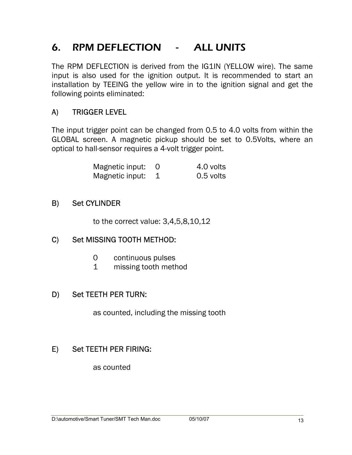# 6. RPM DEFLECTION - ALL UNITS

The RPM DEFLECTION is derived from the IG1IN (YELLOW wire). The same input is also used for the ignition output. It is recommended to start an installation by TEEING the yellow wire in to the ignition signal and get the following points eliminated:

#### A) TRIGGER LEVEL

The input trigger point can be changed from 0.5 to 4.0 volts from within the GLOBAL screen. A magnetic pickup should be set to 0.5Volts, where an optical to hall-sensor requires a 4-volt trigger point.

| Magnetic input: 0 | 4.0 volts |
|-------------------|-----------|
| Magnetic input: 1 | 0.5 volts |

#### B) Set CYLINDER

to the correct value: 3,4,5,8,10,12

#### C) Set MISSING TOOTH METHOD:

- 0 continuous pulses
- 1 missing tooth method

#### D) Set TEETH PER TURN:

as counted, including the missing tooth

#### E) Set TEETH PER FIRING:

as counted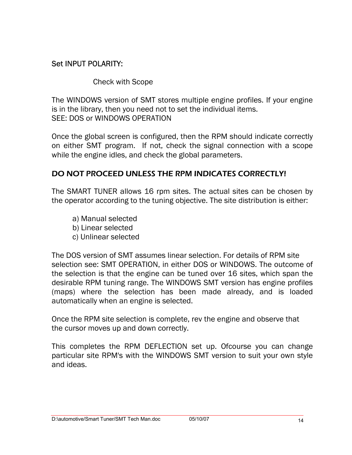#### Set INPUT POLARITY:

Check with Scope

The WINDOWS version of SMT stores multiple engine profiles. If your engine is in the library, then you need not to set the individual items. SEE: DOS or WINDOWS OPERATION

Once the global screen is configured, then the RPM should indicate correctly on either SMT program. If not, check the signal connection with a scope while the engine idles, and check the global parameters.

#### DO NOT PROCEED UNLESS THE RPM INDICATES CORRECTLY!

The SMART TUNER allows 16 rpm sites. The actual sites can be chosen by the operator according to the tuning objective. The site distribution is either:

- a) Manual selected b) Linear selected
- c) Unlinear selected

The DOS version of SMT assumes linear selection. For details of RPM site selection see: SMT OPERATION, in either DOS or WINDOWS. The outcome of the selection is that the engine can be tuned over 16 sites, which span the desirable RPM tuning range. The WINDOWS SMT version has engine profiles (maps) where the selection has been made already, and is loaded automatically when an engine is selected.

Once the RPM site selection is complete, rev the engine and observe that the cursor moves up and down correctly.

This completes the RPM DEFLECTION set up. Ofcourse you can change particular site RPM's with the WINDOWS SMT version to suit your own style and ideas.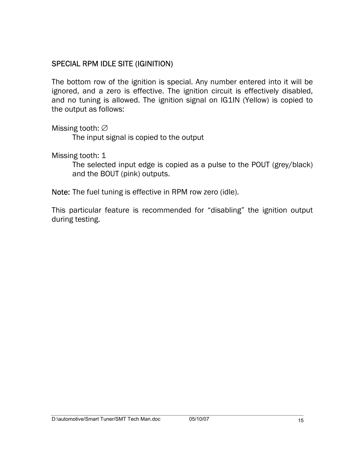#### SPECIAL RPM IDLE SITE (IGINITION)

The bottom row of the ignition is special. Any number entered into it will be ignored, and a zero is effective. The ignition circuit is effectively disabled, and no tuning is allowed. The ignition signal on IG1IN (Yellow) is copied to the output as follows:

Missing tooth: ∅

The input signal is copied to the output

Missing tooth: 1

The selected input edge is copied as a pulse to the POUT (grey/black) and the BOUT (pink) outputs.

Note: The fuel tuning is effective in RPM row zero (idle).

This particular feature is recommended for "disabling" the ignition output during testing.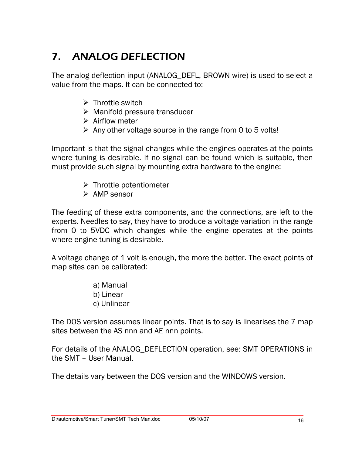# 7. ANALOG DEFLECTION

The analog deflection input (ANALOG\_DEFL, BROWN wire) is used to select a value from the maps. It can be connected to:

- $\triangleright$  Throttle switch
- $\triangleright$  Manifold pressure transducer
- $\triangleright$  Airflow meter
- $\triangleright$  Any other voltage source in the range from 0 to 5 volts!

Important is that the signal changes while the engines operates at the points where tuning is desirable. If no signal can be found which is suitable, then must provide such signal by mounting extra hardware to the engine:

- $\triangleright$  Throttle potentiometer
- $\triangleright$  AMP sensor

The feeding of these extra components, and the connections, are left to the experts. Needles to say, they have to produce a voltage variation in the range from 0 to 5VDC which changes while the engine operates at the points where engine tuning is desirable.

A voltage change of 1 volt is enough, the more the better. The exact points of map sites can be calibrated:

> a) Manual b) Linear c) Unlinear

The DOS version assumes linear points. That is to say is linearises the 7 map sites between the AS nnn and AE nnn points.

For details of the ANALOG\_DEFLECTION operation, see: SMT OPERATIONS in the SMT – User Manual.

The details vary between the DOS version and the WINDOWS version.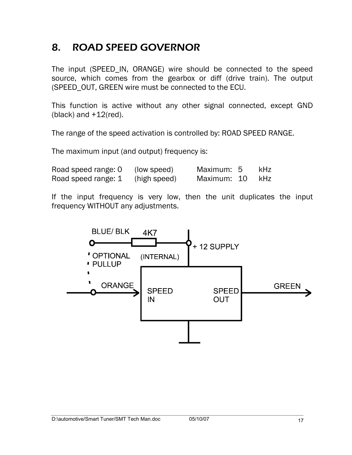# 8. ROAD SPEED GOVERNOR

The input (SPEED\_IN, ORANGE) wire should be connected to the speed source, which comes from the gearbox or diff (drive train). The output (SPEED\_OUT, GREEN wire must be connected to the ECU.

This function is active without any other signal connected, except GND (black) and +12(red).

The range of the speed activation is controlled by: ROAD SPEED RANGE.

The maximum input (and output) frequency is:

| Road speed range: 0 | (low speed)  | Maximum: 5  | kHz |
|---------------------|--------------|-------------|-----|
| Road speed range: 1 | (high speed) | Maximum: 10 | kHz |

If the input frequency is very low, then the unit duplicates the input frequency WITHOUT any adjustments.

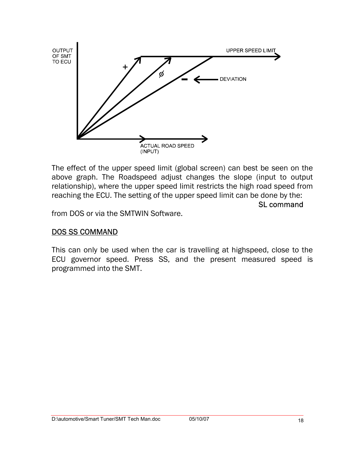

The effect of the upper speed limit (global screen) can best be seen on the above graph. The Roadspeed adjust changes the slope (input to output relationship), where the upper speed limit restricts the high road speed from reaching the ECU. The setting of the upper speed limit can be done by the:

SL command

from DOS or via the SMTWIN Software.

#### DOS SS COMMAND

This can only be used when the car is travelling at highspeed, close to the ECU governor speed. Press SS, and the present measured speed is programmed into the SMT.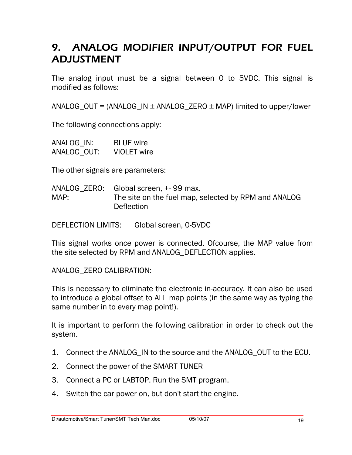# 9. ANALOG MODIFIER INPUT/OUTPUT FOR FUEL ADJUSTMENT

The analog input must be a signal between 0 to 5VDC. This signal is modified as follows:

 $ANALOG_OUT = (ANALOG_IN \pm ANALOG_ZERO \pm MAP)$  limited to upper/lower

The following connections apply:

| ANALOG IN:  | <b>BLUE</b> wire   |
|-------------|--------------------|
| ANALOG_OUT: | <b>VIOLET</b> wire |

The other signals are parameters:

|      | ANALOG ZERO: Global screen, +-99 max.                |
|------|------------------------------------------------------|
| MAP: | The site on the fuel map, selected by RPM and ANALOG |
|      | Deflection                                           |

DEFLECTION LIMITS: Global screen, 0-5VDC

This signal works once power is connected. Ofcourse, the MAP value from the site selected by RPM and ANALOG\_DEFLECTION applies.

ANALOG\_ZERO CALIBRATION:

This is necessary to eliminate the electronic in-accuracy. It can also be used to introduce a global offset to ALL map points (in the same way as typing the same number in to every map point!).

It is important to perform the following calibration in order to check out the system.

- 1. Connect the ANALOG\_IN to the source and the ANALOG\_OUT to the ECU.
- 2. Connect the power of the SMART TUNER
- 3. Connect a PC or LABTOP. Run the SMT program.
- 4. Switch the car power on, but don't start the engine.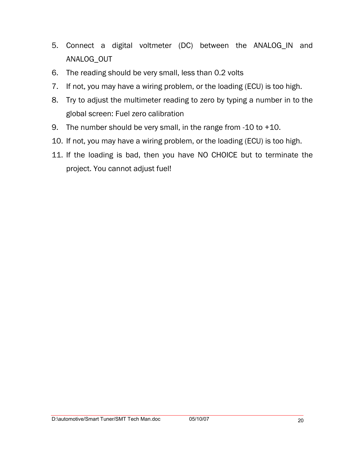- 5. Connect a digital voltmeter (DC) between the ANALOG\_IN and ANALOG\_OUT
- 6. The reading should be very small, less than 0.2 volts
- 7. If not, you may have a wiring problem, or the loading (ECU) is too high.
- 8. Try to adjust the multimeter reading to zero by typing a number in to the global screen: Fuel zero calibration
- 9. The number should be very small, in the range from -10 to +10.
- 10. If not, you may have a wiring problem, or the loading (ECU) is too high.
- 11. If the loading is bad, then you have NO CHOICE but to terminate the project. You cannot adjust fuel!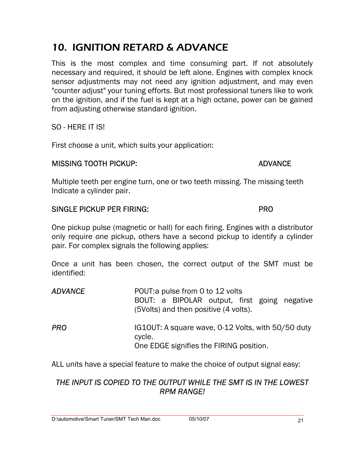# 10. IGNITION RETARD & ADVANCE

This is the most complex and time consuming part. If not absolutely necessary and required, it should be left alone. Engines with complex knock sensor adjustments may not need any ignition adjustment, and may even "counter adjust" your tuning efforts. But most professional tuners like to work on the ignition, and if the fuel is kept at a high octane, power can be gained from adjusting otherwise standard ignition.

SO - HERE IT IS!

First choose a unit, which suits your application:

#### MISSING TOOTH PICKUP: ADVANCE

Multiple teeth per engine turn, one or two teeth missing. The missing teeth Indicate a cylinder pair.

#### SINGLE PICKUP PER FIRING: PRO

One pickup pulse (magnetic or hall) for each firing. Engines with a distributor only require one pickup, others have a second pickup to identify a cylinder pair. For complex signals the following applies:

Once a unit has been chosen, the correct output of the SMT must be identified:

| <b>ADVANCE</b> | POUT: a pulse from 0 to 12 volts<br>BOUT: a BIPOLAR output, first going negative<br>(5Volts) and then positive (4 volts). |
|----------------|---------------------------------------------------------------------------------------------------------------------------|
| <b>PRO</b>     | IG10UT: A square wave, 0-12 Volts, with 50/50 duty<br>cycle.<br>One EDGE signifies the FIRING position.                   |

ALL units have a special feature to make the choice of output signal easy:

#### *THE INPUT IS COPIED TO THE OUTPUT WHILE THE SMT IS IN THE LOWEST RPM RANGE!*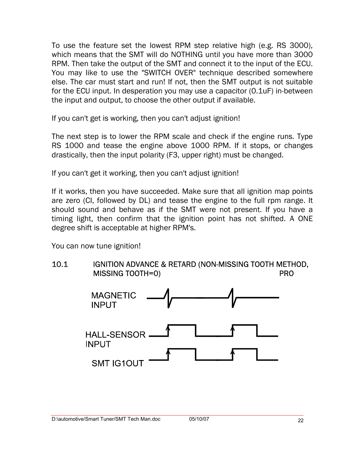To use the feature set the lowest RPM step relative high (e.g. RS 3000), which means that the SMT will do NOTHING until you have more than 3000 RPM. Then take the output of the SMT and connect it to the input of the ECU. You may like to use the "SWITCH OVER" technique described somewhere else. The car must start and run! If not, then the SMT output is not suitable for the ECU input. In desperation you may use a capacitor (0.1uF) in-between the input and output, to choose the other output if available.

If you can't get is working, then you can't adjust ignition!

The next step is to lower the RPM scale and check if the engine runs. Type RS 1000 and tease the engine above 1000 RPM. If it stops, or changes drastically, then the input polarity (F3, upper right) must be changed.

If you can't get it working, then you can't adjust ignition!

If it works, then you have succeeded. Make sure that all ignition map points are zero (CI, followed by DL) and tease the engine to the full rpm range. It should sound and behave as if the SMT were not present. If you have a timing light, then confirm that the ignition point has not shifted. A ONE degree shift is acceptable at higher RPM's.

You can now tune ignition!



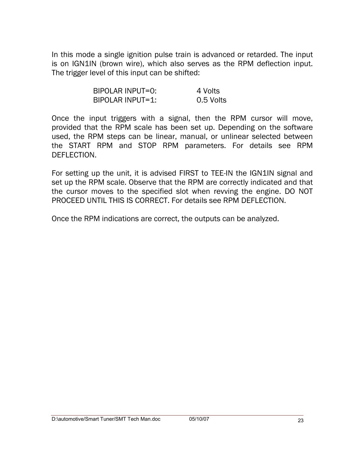In this mode a single ignition pulse train is advanced or retarded. The input is on IGN1IN (brown wire), which also serves as the RPM deflection input. The trigger level of this input can be shifted:

| BIPOLAR INPUT=0: | 4 Volts   |
|------------------|-----------|
| BIPOLAR INPUT=1: | 0.5 Volts |

Once the input triggers with a signal, then the RPM cursor will move, provided that the RPM scale has been set up. Depending on the software used, the RPM steps can be linear, manual, or unlinear selected between the START RPM and STOP RPM parameters. For details see RPM DEFLECTION.

For setting up the unit, it is advised FIRST to TEE-IN the IGN1IN signal and set up the RPM scale. Observe that the RPM are correctly indicated and that the cursor moves to the specified slot when revving the engine. DO NOT PROCEED UNTIL THIS IS CORRECT. For details see RPM DEFLECTION.

Once the RPM indications are correct, the outputs can be analyzed.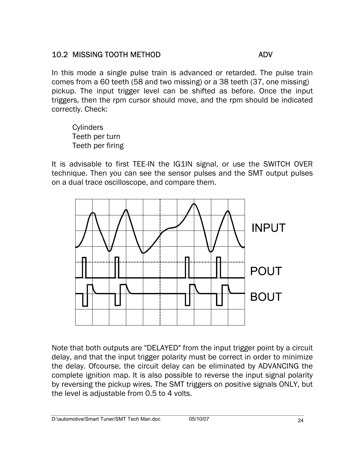#### 10.2 MISSING TOOTH METHOD ADV

In this mode a single pulse train is advanced or retarded. The pulse train comes from a 60 teeth (58 and two missing) or a 38 teeth (37, one missing) pickup. The input trigger level can be shifted as before. Once the input triggers, then the rpm cursor should move, and the rpm should be indicated correctly. Check:

**Cylinders** Teeth per turn Teeth per firing

It is advisable to first TEE-IN the IG1IN signal, or use the SWITCH OVER technique. Then you can see the sensor pulses and the SMT output pulses on a dual trace oscilloscope, and compare them.



Note that both outputs are "DELAYED" from the input trigger point by a circuit delay, and that the input trigger polarity must be correct in order to minimize the delay. Ofcourse, the circuit delay can be eliminated by ADVANCING the complete ignition map. It is also possible to reverse the input signal polarity by reversing the pickup wires. The SMT triggers on positive signals ONLY, but the level is adjustable from 0.5 to 4 volts.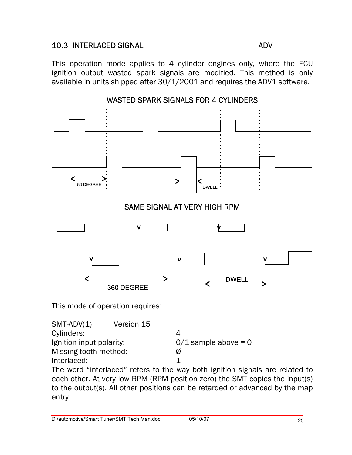#### 10.3 INTERLACED SIGNAL ADV

This operation mode applies to 4 cylinder engines only, where the ECU ignition output wasted spark signals are modified. This method is only available in units shipped after 30/1/2001 and requires the ADV1 software.



This mode of operation requires:

SMT-ADV(1) Version 15 Cylinders: 4 Ignition input polarity:  $0/1$  sample above = 0 Missing tooth method: Ø Interlaced: 1

The word "interlaced" refers to the way both ignition signals are related to each other. At very low RPM (RPM position zero) the SMT copies the input(s) to the output(s). All other positions can be retarded or advanced by the map entry.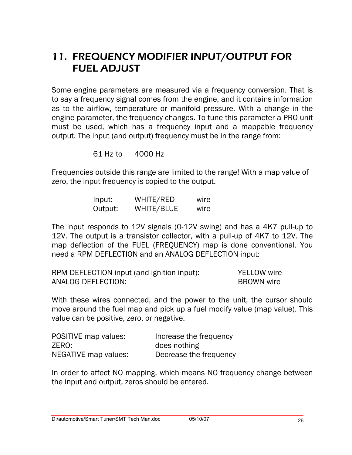# 11. FREQUENCY MODIFIER INPUT/OUTPUT FOR FUEL ADJUST

Some engine parameters are measured via a frequency conversion. That is to say a frequency signal comes from the engine, and it contains information as to the airflow, temperature or manifold pressure. With a change in the engine parameter, the frequency changes. To tune this parameter a PRO unit must be used, which has a frequency input and a mappable frequency output. The input (and output) frequency must be in the range from:

61 Hz to 4000 Hz

Frequencies outside this range are limited to the range! With a map value of zero, the input frequency is copied to the output.

| Input:  | WHITE/RED  | wire |
|---------|------------|------|
| Output: | WHITE/BLUE | wire |

The input responds to 12V signals (0-12V swing) and has a 4K7 pull-up to 12V. The output is a transistor collector, with a pull-up of 4K7 to 12V. The map deflection of the FUEL (FREQUENCY) map is done conventional. You need a RPM DEFLECTION and an ANALOG DEFLECTION input:

| RPM DEFLECTION input (and ignition input): | <b>YELLOW</b> wire |
|--------------------------------------------|--------------------|
| ANALOG DEFLECTION:                         | <b>BROWN</b> wire  |

With these wires connected, and the power to the unit, the cursor should move around the fuel map and pick up a fuel modify value (map value). This value can be positive, zero, or negative.

| POSITIVE map values: | Increase the frequency |
|----------------------|------------------------|
| ZERO:                | does nothing           |
| NEGATIVE map values: | Decrease the frequency |

In order to affect NO mapping, which means NO frequency change between the input and output, zeros should be entered.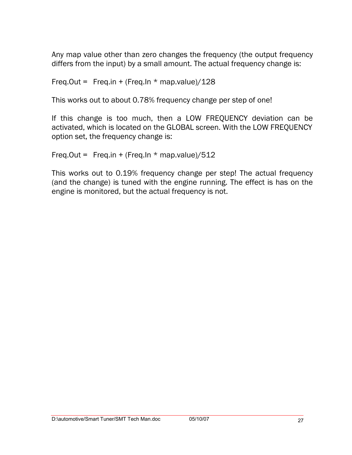Any map value other than zero changes the frequency (the output frequency differs from the input) by a small amount. The actual frequency change is:

Freq.Out = Freq.in + (Freq.In  $*$  map.value)/128

This works out to about 0.78% frequency change per step of one!

If this change is too much, then a LOW FREQUENCY deviation can be activated, which is located on the GLOBAL screen. With the LOW FREQUENCY option set, the frequency change is:

```
Freq.Out = Freq.in + (Freq.In * map.value)/512
```
This works out to 0.19% frequency change per step! The actual frequency (and the change) is tuned with the engine running. The effect is has on the engine is monitored, but the actual frequency is not.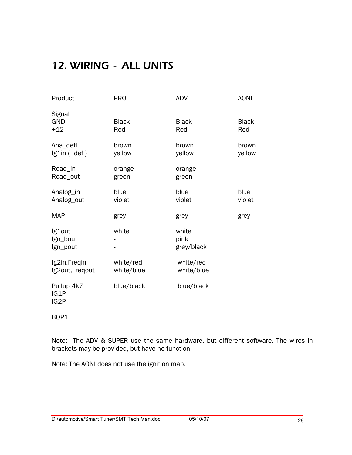# 12. WIRING - ALL UNITS

| Product                          | <b>PRO</b>              | <b>ADV</b>                  | <b>AONI</b>         |
|----------------------------------|-------------------------|-----------------------------|---------------------|
| Signal<br><b>GND</b><br>$+12$    | <b>Black</b><br>Red     | <b>Black</b><br>Red         | <b>Black</b><br>Red |
| Ana_defl<br>Ig1in (+defl)        | brown<br>yellow         | brown<br>yellow             | brown<br>yellow     |
| Road_in<br>Road_out              | orange<br>green         | orange<br>green             |                     |
| Analog_in<br>Analog_out          | blue<br>violet          | blue<br>violet              | blue<br>violet      |
| <b>MAP</b>                       | grey                    | grey                        | grey                |
| Ig1out<br>Ign_bout<br>Ign_pout   | white                   | white<br>pink<br>grey/black |                     |
| Ig2in, Freqin<br>Ig2out, Freqout | white/red<br>white/blue | white/red<br>white/blue     |                     |
| Pullup 4k7<br>IG1P<br>IG2P       | blue/black              | blue/black                  |                     |

BOP1

Note: The ADV & SUPER use the same hardware, but different software. The wires in brackets may be provided, but have no function.

Note: The AONI does not use the ignition map.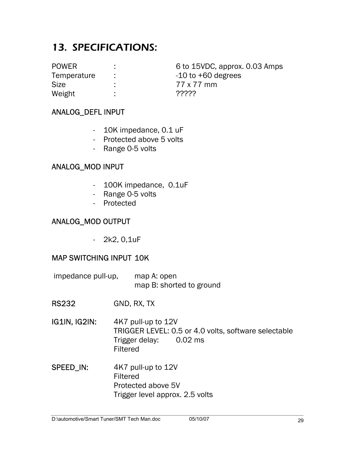# 13. SPECIFICATIONS:

Size : 77 x 77 mm Weight : ??????

POWER : 6 to 15VDC, approx. 0.03 Amps Temperature :  $-10$  to +60 degrees

#### ANALOG\_DEFL INPUT

- 10K impedance, 0.1 uF
- Protected above 5 volts
- Range 0-5 volts

#### ANALOG\_MOD INPUT

- 100K impedance, 0.1uF
- Range 0-5 volts
- Protected

#### ANALOG\_MOD OUTPUT

- 2k2, 0,1uF

#### MAP SWITCHING INPUT 10K

- impedance pull-up, map A: open map B: shorted to ground
- RS232 GND, RX, TX
- IG1IN, IG2IN: 4K7 pull-up to 12V TRIGGER LEVEL: 0.5 or 4.0 volts, software selectable Trigger delay: 0.02 ms Filtered
- SPEED\_IN: 4K7 pull-up to 12V Filtered Protected above 5V Trigger level approx. 2.5 volts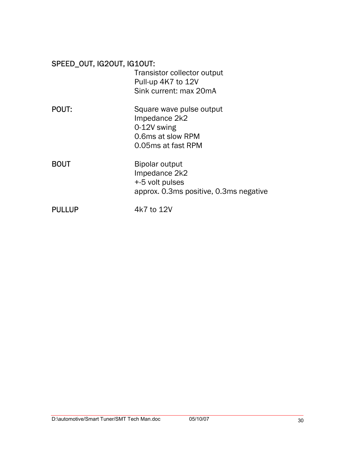| SPEED_OUT, IG2OUT, IG1OUT: |                                                    |
|----------------------------|----------------------------------------------------|
|                            | Transistor collector output                        |
|                            | Pull-up 4K7 to 12V                                 |
|                            | Sink current: max 20mA                             |
| <b>POUT:</b>               | Square wave pulse output                           |
|                            | Impedance 2k2                                      |
|                            | 0-12V swing<br>0.6ms at slow RPM                   |
|                            | 0.05ms at fast RPM                                 |
| <b>BOUT</b>                | Bipolar output<br>Impedance 2k2<br>+-5 volt pulses |
|                            | approx. 0.3ms positive, 0.3ms negative             |
| PULLUP                     | 4k7 to 12V                                         |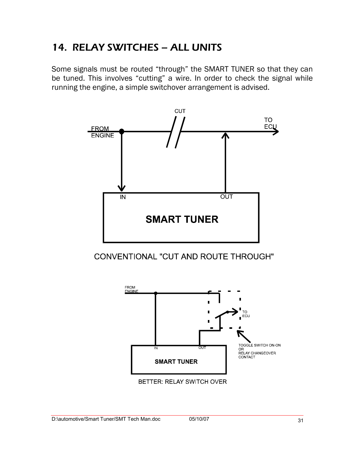# 14. RELAY SWITCHES – ALL UNITS

Some signals must be routed "through" the SMART TUNER so that they can be tuned. This involves "cutting" a wire. In order to check the signal while running the engine, a simple switchover arrangement is advised.



CONVENTIONAL "CUT AND ROUTE THROUGH"

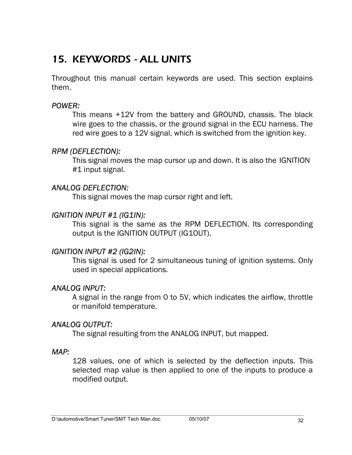# 15. KEYWORDS - ALL UNITS

Throughout this manual certain keywords are used. This section explains them.

#### *POWER:*

This means +12V from the battery and GROUND, chassis. The black wire goes to the chassis, or the ground signal in the ECU harness. The red wire goes to a 12V signal, which is switched from the ignition key.

#### *RPM (DEFLECTION):*

This signal moves the map cursor up and down. It is also the IGNITION #1 input signal.

#### *ANALOG DEFLECTION:*

This signal moves the map cursor right and left.

#### *IGNITION INPUT #1 (IG1IN):*

This signal is the same as the RPM DEFLECTION. Its corresponding output is the IGNITION OUTPUT (IG1OUT).

#### *IGNITION INPUT #2 (IG2IN):*

This signal is used for 2 simultaneous tuning of ignition systems. Only used in special applications.

#### *ANALOG INPUT:*

A signal in the range from 0 to 5V, which indicates the airflow, throttle or manifold temperature.

#### *ANALOG OUTPUT:*

The signal resulting from the ANALOG INPUT, but mapped.

#### *MAP:*

128 values, one of which is selected by the deflection inputs. This selected map value is then applied to one of the inputs to produce a modified output.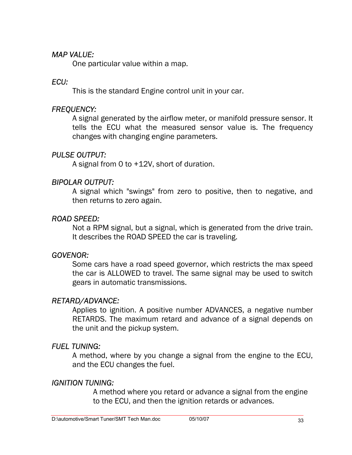#### *MAP VALUE:*

One particular value within a map.

#### *ECU:*

This is the standard Engine control unit in your car.

#### *FREQUENCY:*

A signal generated by the airflow meter, or manifold pressure sensor. It tells the ECU what the measured sensor value is. The frequency changes with changing engine parameters.

### *PULSE OUTPUT:*

A signal from 0 to +12V, short of duration.

#### *BIPOLAR OUTPUT:*

A signal which "swings" from zero to positive, then to negative, and then returns to zero again.

#### *ROAD SPEED:*

Not a RPM signal, but a signal, which is generated from the drive train. It describes the ROAD SPEED the car is traveling.

#### *GOVENOR:*

Some cars have a road speed governor, which restricts the max speed the car is ALLOWED to travel. The same signal may be used to switch gears in automatic transmissions.

#### *RETARD/ADVANCE:*

Applies to ignition. A positive number ADVANCES, a negative number RETARDS. The maximum retard and advance of a signal depends on the unit and the pickup system.

#### *FUEL TUNING:*

A method, where by you change a signal from the engine to the ECU, and the ECU changes the fuel.

#### *IGNITION TUNING:*

A method where you retard or advance a signal from the engine to the ECU, and then the ignition retards or advances.